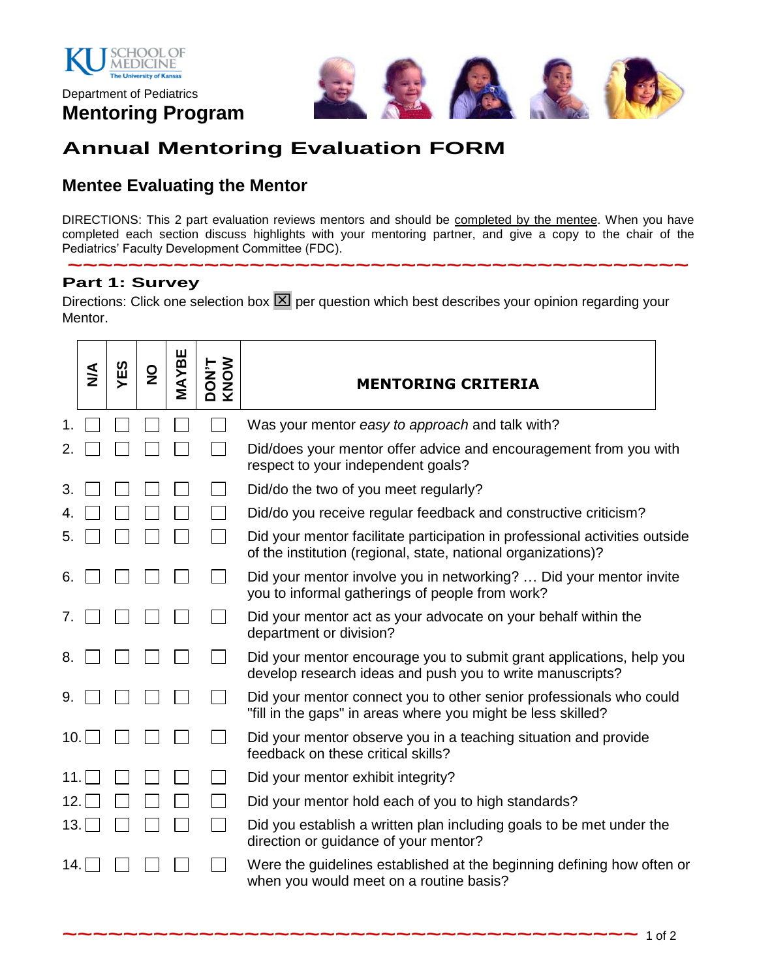

Department of Pediatrics **Mentoring Program**



## **Annual Mentoring Evaluation FORM**

## **Mentee Evaluating the Mentor**

DIRECTIONS: This 2 part evaluation reviews mentors and should be completed by the mentee. When you have completed each section discuss highlights with your mentoring partner, and give a copy to the chair of the Pediatrics' Faculty Development Committee (FDC).

**~~~~~~~~~~~~~~~~~~~~~~~~~~~~~~~~~~~~~~~~~**

#### **Part 1: Survey**

Directions: Click one selection box  $\boxed{\times}$  per question which best describes your opinion regarding your Mentor.

|     | $\frac{4}{5}$ | YES | $\frac{0}{2}$ | MAYBE | <b>DON'T</b><br>KNOW | <b>MENTORING CRITERIA</b>                                                                                                                    |
|-----|---------------|-----|---------------|-------|----------------------|----------------------------------------------------------------------------------------------------------------------------------------------|
|     |               |     |               |       |                      | Was your mentor easy to approach and talk with?                                                                                              |
| 2.  |               |     |               |       |                      | Did/does your mentor offer advice and encouragement from you with<br>respect to your independent goals?                                      |
| 3.  |               |     |               |       |                      | Did/do the two of you meet regularly?                                                                                                        |
|     |               |     |               |       |                      | Did/do you receive regular feedback and constructive criticism?                                                                              |
| 5.  |               |     |               |       |                      | Did your mentor facilitate participation in professional activities outside<br>of the institution (regional, state, national organizations)? |
| 6.  |               |     |               |       |                      | Did your mentor involve you in networking?  Did your mentor invite<br>you to informal gatherings of people from work?                        |
| 7.  |               |     |               |       |                      | Did your mentor act as your advocate on your behalf within the<br>department or division?                                                    |
| 8.  |               |     |               |       |                      | Did your mentor encourage you to submit grant applications, help you<br>develop research ideas and push you to write manuscripts?            |
| 9.  |               |     |               |       |                      | Did your mentor connect you to other senior professionals who could<br>"fill in the gaps" in areas where you might be less skilled?          |
| 10. |               |     |               |       |                      | Did your mentor observe you in a teaching situation and provide<br>feedback on these critical skills?                                        |
| 11. |               |     |               |       |                      | Did your mentor exhibit integrity?                                                                                                           |
| 12. |               |     |               |       |                      | Did your mentor hold each of you to high standards?                                                                                          |
| 13. |               |     |               |       |                      | Did you establish a written plan including goals to be met under the<br>direction or guidance of your mentor?                                |
| 14. |               |     |               |       |                      | Were the guidelines established at the beginning defining how often or<br>when you would meet on a routine basis?                            |